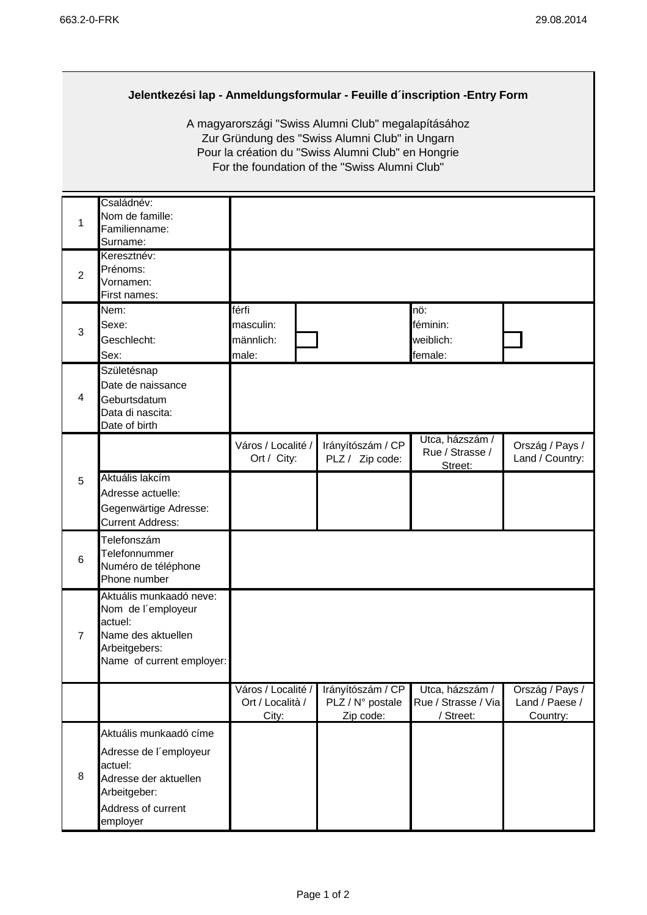## **Jelentkezési lap - Anmeldungsformular - Feuille d´inscription -Entry Form**

A magyarországi "Swiss Alumni Club" megalapításához Zur Gründung des "Swiss Alumni Club" in Ungarn Pour la création du "Swiss Alumni Club" en Hongrie For the foundation of the "Swiss Alumni Club"

| 1              | Családnév:<br>Nom de famille:<br>Familienname:<br>Surname:                                                                             |                                                 |                                                    |                                                     |                                               |
|----------------|----------------------------------------------------------------------------------------------------------------------------------------|-------------------------------------------------|----------------------------------------------------|-----------------------------------------------------|-----------------------------------------------|
| $\overline{2}$ | Keresztnév:<br>Prénoms:<br>Vornamen:<br>First names:                                                                                   |                                                 |                                                    |                                                     |                                               |
| 3              | Nem:<br>Sexe:<br>Geschlecht:<br>Sex:                                                                                                   | férfi<br>masculin:<br>männlich:<br>male:        |                                                    | nö:<br>féminin:<br>weiblich:<br>female:             |                                               |
| 4              | Születésnap<br>Date de naissance<br>Geburtsdatum<br>Data di nascita:<br>Date of birth                                                  |                                                 |                                                    |                                                     |                                               |
|                |                                                                                                                                        | Város / Localité /<br>Ort / City:               | Irányítószám / CP<br>PLZ / Zip code:               | Utca, házszám /<br>Rue / Strasse /<br>Street:       | Ország / Pays /<br>Land / Country:            |
| 5              | Aktuális lakcím<br>Adresse actuelle:<br>Gegenwärtige Adresse:<br><b>Current Address:</b>                                               |                                                 |                                                    |                                                     |                                               |
| 6              | Telefonszám<br>Telefonnummer<br>Numéro de téléphone<br>Phone number                                                                    |                                                 |                                                    |                                                     |                                               |
| $\overline{7}$ | Aktuális munkaadó neve:<br>Nom de l'employeur<br>actuel:<br>Name des aktuellen<br>Arbeitgebers:<br>Name of current employer:           |                                                 |                                                    |                                                     |                                               |
|                |                                                                                                                                        | Város / Localité /<br>Ort / Località /<br>City: | Irányítószám / CP<br>PLZ / N° postale<br>Zip code: | Utca, házszám /<br>Rue / Strasse / Via<br>/ Street: | Ország / Pays /<br>Land / Paese /<br>Country: |
| 8              | Aktuális munkaadó címe<br>Adresse de l'employeur<br>actuel:<br>Adresse der aktuellen<br>Arbeitgeber:<br>Address of current<br>employer |                                                 |                                                    |                                                     |                                               |